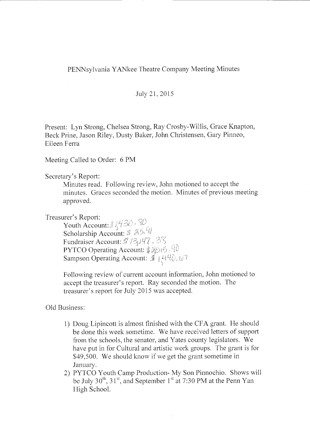## PENNsylvania YANkee Theatre Company Meeting Minutes

## July 21, 2015

Present: Lyn Strong, Chelsea Strong, Ray Crosby-Willis, Grace Knapton, Beck Prine, Jason Riley, Dusty Baker, John Christensen, Gary Pinneo, Eileen Ferra

Meeting Called to Order: 6 **PM** 

Secretary's Report:

Minutes read. Following review, John motioned to accept the minutes. Graces seconded the motion. Minutes of previous meeting approved.

Treasurer's Report:

Youth Account: *./*/ <sup>1</sup>/ Scholarship Account: Fundraiser Account: # 13,147, 38 PYTCO Operating Account: Sampson Operating Account:

Following review of current account information, John motioned to accept the treasurer's report. Ray seconded the motion. The treasurer's report for July 2015 was accepted.

Old Business:

- 1) Doug Lipincott is almost finished with the CFA grant. He should be done this week sometime. We have received letters of support from the schools, the senator, and Yates county legislators. We have put in for Cultural and artistic work groups. The grant is for \$49,500. We should know if we get the grant sometime in January.
- 2) PYTCO Youth Camp Production- My Son Pinnochio. Shows will be July  $30<sup>th</sup>$ ,  $31<sup>st</sup>$ , and September  $1<sup>st</sup>$  at 7:30 PM at the Penn Yan High School.